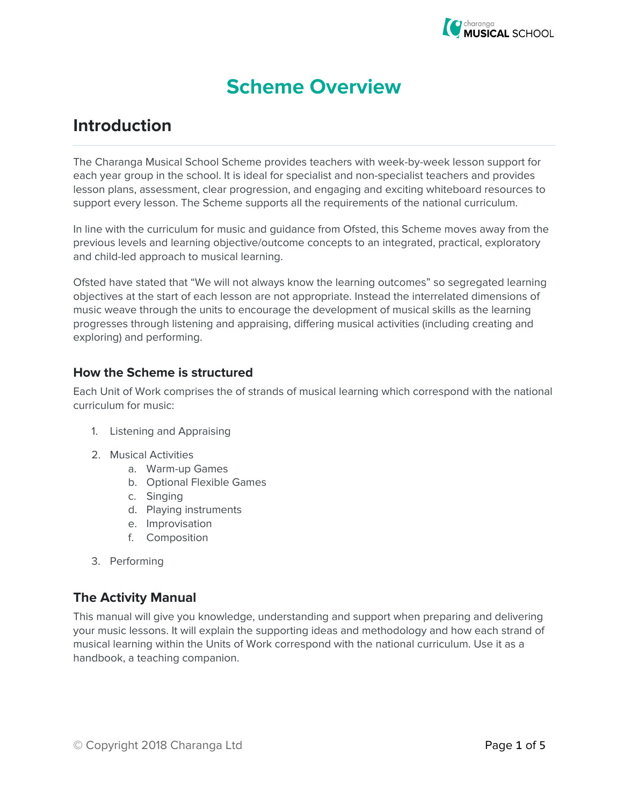

# **Scheme Overview**

## **Introduction**

The Charanga Musical School Scheme provides teachers with week-by-week lesson support for each year group in the school. It is ideal for specialist and non-specialist teachers and provides lesson plans, assessment, clear progression, and engaging and exciting whiteboard resources to support every lesson. The Scheme supports all the requirements of the national curriculum.

In line with the curriculum for music and guidance from Ofsted, this Scheme moves away from the previous levels and learning objective/outcome concepts to an integrated, practical, exploratory and child-led approach to musical learning.

Ofsted have stated that "We will not always know the learning outcomes" so segregated learning objectives at the start of each lesson are not appropriate. Instead the interrelated dimensions of music weave through the units to encourage the development of musical skills as the learning progresses through listening and appraising, differing musical activities (including creating and exploring) and performing.

#### **How the Scheme is structured**

Each Unit of Work comprises the of strands of musical learning which correspond with the national curriculum for music:

- 1. Listening and Appraising
- 2. Musical Activities
	- a. Warm-up Games
	- b. Optional Flexible Games
	- c. Singing
	- d. Playing instruments
	- e. Improvisation
	- f. Composition
- 3. Performing

## **The Activity Manual**

This manual will give you knowledge, understanding and support when preparing and delivering your music lessons. It will explain the supporting ideas and methodology and how each strand of musical learning within the Units of Work correspond with the national curriculum. Use it as a handbook, a teaching companion.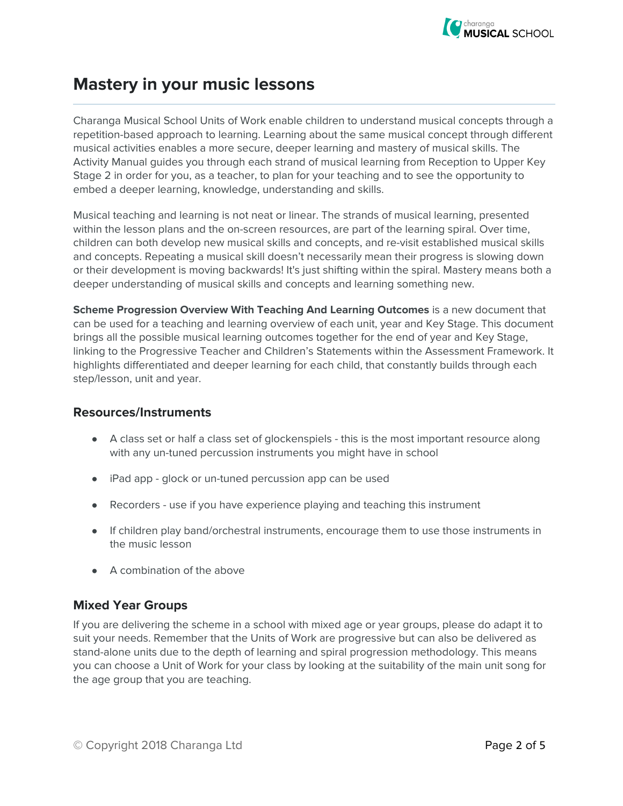

## **Mastery in your music lessons**

Charanga Musical School Units of Work enable children to understand musical concepts through a repetition-based approach to learning. Learning about the same musical concept through different musical activities enables a more secure, deeper learning and mastery of musical skills. The Activity Manual guides you through each strand of musical learning from Reception to Upper Key Stage 2 in order for you, as a teacher, to plan for your teaching and to see the opportunity to embed a deeper learning, knowledge, understanding and skills.

Musical teaching and learning is not neat or linear. The strands of musical learning, presented within the lesson plans and the on-screen resources, are part of the learning spiral. Over time, children can both develop new musical skills and concepts, and re-visit established musical skills and concepts. Repeating a musical skill doesn't necessarily mean their progress is slowing down or their development is moving backwards! It's just shifting within the spiral. Mastery means both a deeper understanding of musical skills and concepts and learning something new.

**Scheme Progression Overview With Teaching And Learning Outcomes** is a new document that can be used for a teaching and learning overview of each unit, year and Key Stage. This document brings all the possible musical learning outcomes together for the end of year and Key Stage, linking to the Progressive Teacher and Children's Statements within the Assessment Framework. It highlights differentiated and deeper learning for each child, that constantly builds through each step/lesson, unit and year.

### **Resources/Instruments**

- A class set or half a class set of glockenspiels this is the most important resource along with any un-tuned percussion instruments you might have in school
- iPad app glock or un-tuned percussion app can be used
- Recorders use if you have experience playing and teaching this instrument
- If children play band/orchestral instruments, encourage them to use those instruments in the music lesson
- A combination of the above

### **Mixed Year Groups**

If you are delivering the scheme in a school with mixed age or year groups, please do adapt it to suit your needs. Remember that the Units of Work are progressive but can also be delivered as stand-alone units due to the depth of learning and spiral progression methodology. This means you can choose a Unit of Work for your class by looking at the suitability of the main unit song for the age group that you are teaching.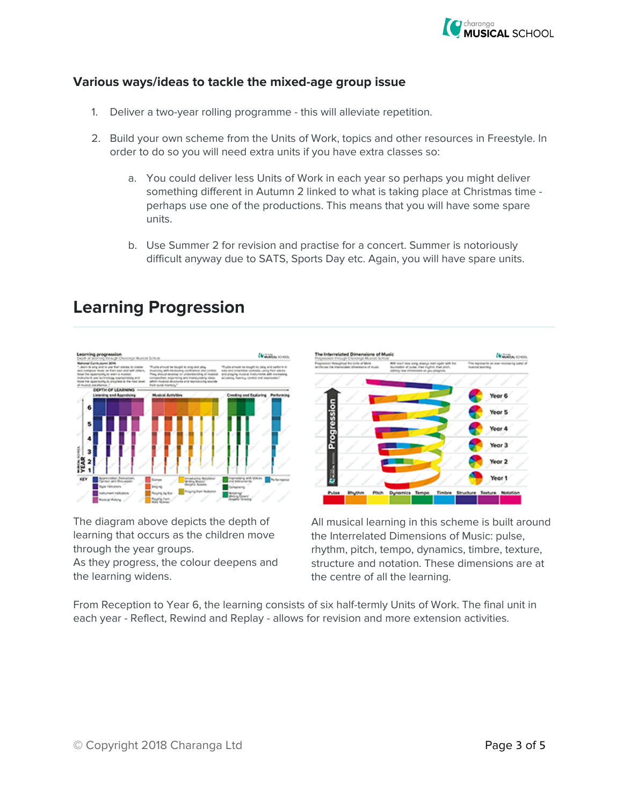

#### **Various ways/ideas to tackle the mixed-age group issue**

- 1. Deliver a two-year rolling programme this will alleviate repetition.
- 2. Build your own scheme from the Units of Work, topics and other resources in Freestyle. In order to do so you will need extra units if you have extra classes so:
	- a. You could deliver less Units of Work in each year so perhaps you might deliver something different in Autumn 2 linked to what is taking place at Christmas time perhaps use one of the productions. This means that you will have some spare units.
	- b. Use Summer 2 for revision and practise for a concert. Summer is notoriously difficult anyway due to SATS, Sports Day etc. Again, you will have spare units.

## **Learning Progression**



The diagram above depicts the depth of learning that occurs as the children move through the year groups.

As they progress, the colour deepens and the learning widens.



All musical learning in this scheme is built around the Interrelated Dimensions of Music: pulse, rhythm, pitch, tempo, dynamics, timbre, texture, structure and notation. These dimensions are at the centre of all the learning.

From Reception to Year 6, the learning consists of six half-termly Units of Work. The final unit in each year - Reflect, Rewind and Replay - allows for revision and more extension activities.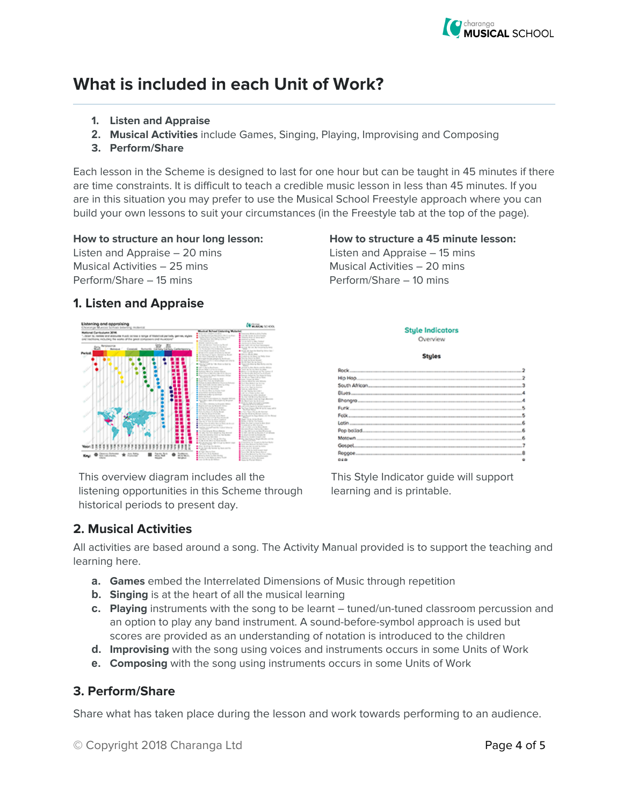

## **What is included in each Unit of Work?**

- **1. Listen and Appraise**
- **2. Musical Activities** include Games, Singing, Playing, Improvising and Composing
- **3. Perform/Share**

Each lesson in the Scheme is designed to last for one hour but can be taught in 45 minutes if there are time constraints. It is difficult to teach a credible music lesson in less than 45 minutes. If you are in this situation you may prefer to use the Musical School Freestyle approach where you can build your own lessons to suit your circumstances (in the Freestyle tab at the top of the page).

#### **How to structure an hour long lesson: How to structure a 45 minute lesson:**

Listen and Appraise – 20 mins Listen and Appraise – 15 mins Musical Activities – 25 mins Musical Activities – 20 mins Perform/Share – 15 mins Perform/Share – 10 mins

#### **1. Listen and Appraise**



This overview diagram includes all the listening opportunities in this Scheme through historical periods to present day.

#### **Style Indicators** Overview

**Stules** 

| Rock.                                                                                                           |   |
|-----------------------------------------------------------------------------------------------------------------|---|
| Hig Hop                                                                                                         | 2 |
| South African<br>the contract of the contract of the contract of the contract of the contract of                | 3 |
|                                                                                                                 |   |
| Bhangra.                                                                                                        | A |
| the contract of the contract of the contract of the contract of the contract of the contract of the contract of | 5 |
|                                                                                                                 | 5 |
| the control of the control of the                                                                               | ß |
| Pop bollad.                                                                                                     | 6 |
| Motown                                                                                                          | 6 |
| Gospel.                                                                                                         |   |
| Reggae.                                                                                                         | Ŕ |
| <b>CEO</b>                                                                                                      | ٠ |

This Style Indicator guide will support learning and is printable.

### **2. Musical Activities**

All activities are based around a song. The Activity Manual provided is to support the teaching and learning here.

- **a. Games** embed the Interrelated Dimensions of Music through repetition
- **b. Singing** is at the heart of all the musical learning
- **c. Playing** instruments with the song to be learnt tuned/un-tuned classroom percussion and an option to play any band instrument. A sound-before-symbol approach is used but scores are provided as an understanding of notation is introduced to the children
- **d. Improvising** with the song using voices and instruments occurs in some Units of Work
- **e. Composing** with the song using instruments occurs in some Units of Work

### **3. Perform/Share**

Share what has taken place during the lesson and work towards performing to an audience.